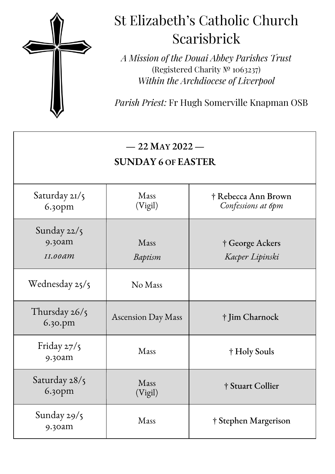

# St Elizabeth's Catholic Church Scarisbrick

*A Mission of the Douai Abbey Parishes Trust* (Registered Charity № 1063237) *Within the Archdiocese of Liverpool*

*Parish Priest:* Fr Hugh Somerville Knapman OSB

| $-22$ May 2022 $-$<br><b>SUNDAY 6 OF EASTER</b> |                           |                                           |
|-------------------------------------------------|---------------------------|-------------------------------------------|
| Saturday $2I/5$<br>6.30pm                       | Mass<br>(Vigil)           | † Rebecca Ann Brown<br>Confessions at 6pm |
| Sunday $22/5$<br>9.30am<br>$II.00$ am           | Mass<br>Baptism           | † George Ackers<br>Kacper Lipinski        |
| Wednesday 25/5                                  | No Mass                   |                                           |
| Thursday $26/5$<br>6.30.pm                      | <b>Ascension Day Mass</b> | † Jim Charnock                            |
| Friday 27/5<br>9.30am                           | Mass                      | † Holy Souls                              |
| Saturday 28/5<br>$6.3$ opm                      | Mass<br>(Vigil)           | † Stuart Collier                          |
| Sunday $29/5$<br>9.30am                         | Mass                      | † Stephen Margerison                      |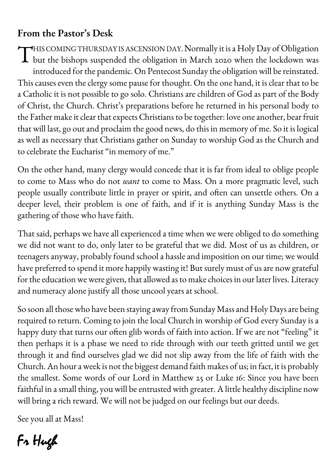## **From the Pastor's Desk**

HIS COMING THURSDAY IS ASCENSION DAY. Normally it is a Holy Day of Obligation THIS COMING THURSDAY IS ASCENSION DAY. Normally it is a Holy Day of Obligation<br>but the bishops suspended the obligation in March 2020 when the lockdown was introduced for the pandemic. On Pentecost Sunday the obligation will be reinstated. This causes even the clergy some pause for thought. On the one hand, it is clear that to be a Catholic it is not possible to go solo. Christians are children of God as part of the Body of Christ, the Church. Christ's preparations before he returned in his personal body to the Father make it clear that expects Christians to be together: love one another, bear fruit that will last, go out and proclaim the good news, do this in memory of me. So it is logical as well as necessary that Christians gather on Sunday to worship God as the Church and to celebrate the Eucharist "in memory of me."

On the other hand, many clergy would concede that it is far from ideal to oblige people to come to Mass who do not *want* to come to Mass. On a more pragmatic level, such people usually contribute little in prayer or spirit, and often can unsettle others. On a deeper level, their problem is one of faith, and if it is anything Sunday Mass is the gathering of those who have faith.

That said, perhaps we have all experienced a time when we were obliged to do something we did not want to do, only later to be grateful that we did. Most of us as children, or teenagers anyway, probably found school a hassle and imposition on our time; we would have preferred to spend it more happily wasting it! But surely must of us are now grateful for the education we were given, that allowed as to make choices in our later lives. Literacy and numeracy alone justify all those uncool years at school.

So soon all those who have been staying away from Sunday Mass and Holy Days are being required to return. Coming to join the local Church in worship of God every Sunday is a happy duty that turns our often glib words of faith into action. If we are not "feeling" it then perhaps it is a phase we need to ride through with our teeth gritted until we get through it and find ourselves glad we did not slip away from the life of faith with the Church. An hour a week is not the biggest demand faith makes of us; in fact, it is probably the smallest. Some words of our Lord in Matthew 25 or Luke 16: Since you have been faithful in a small thing, you will be entrusted with greater. A little healthy discipline now will bring a rich reward. We will not be judged on our feelings but our deeds.

See you all at Mass!

Fr Hugh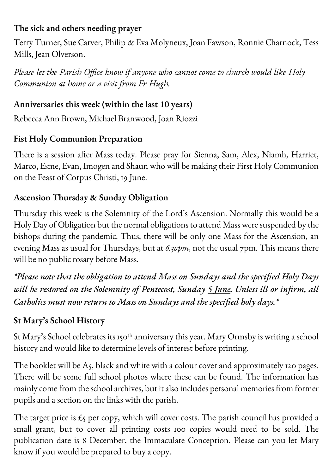#### **The sick and others needing prayer**

Terry Turner, Sue Carver, Philip & Eva Molyneux, Joan Fawson, Ronnie Charnock, Tess Mills, Jean Olverson.

*Please let the Parish Office know if anyone who cannot come to church would like Holy Communion at home or a visit from Fr Hugh.*

#### **Anniversaries this week (within the last 10 years)**

Rebecca Ann Brown, Michael Branwood, Joan Riozzi

#### **Fist Holy Communion Preparation**

There is a session after Mass today. Please pray for Sienna, Sam, Alex, Niamh, Harriet, Marco, Esme, Evan, Imogen and Shaun who will be making their First Holy Communion on the Feast of Corpus Christi, 19 June.

#### **Ascension Thursday & Sunday Obligation**

Thursday this week is the Solemnity of the Lord's Ascension. Normally this would be a Holy Day of Obligation but the normal obligations to attend Mass were suspended by the bishops during the pandemic. Thus, there will be only one Mass for the Ascension, an evening Mass as usual for Thursdays, but at *6.30pm*, not the usual 7pm. This means there will be no public rosary before Mass.

*\*Please note that the obligation to attend Mass on Sundays and the specified Holy Days will be restored on the Solemnity of Pentecost, Sunday 5 June. Unless ill or infirm, all Catholics must now return to Mass on Sundays and the specified holy days.\**

#### **St Mary's School History**

St Mary's School celebrates its 150th anniversary this year. Mary Ormsby is writing a school history and would like to determine levels of interest before printing.

The booklet will be A5, black and white with a colour cover and approximately 120 pages. There will be some full school photos where these can be found. The information has mainly come from the school archives, but it also includes personal memories from former pupils and a section on the links with the parish.

The target price is  $\mathcal{L}_5$  per copy, which will cover costs. The parish council has provided a small grant, but to cover all printing costs 100 copies would need to be sold. The publication date is 8 December, the Immaculate Conception. Please can you let Mary know if you would be prepared to buy a copy.